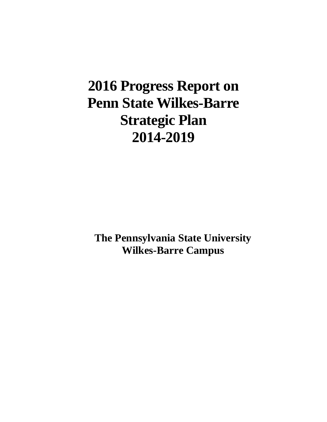# **2016 Progress Report on Penn State Wilkes-Barre Strategic Plan 2014-2019**

**The Pennsylvania State University Wilkes-Barre Campus**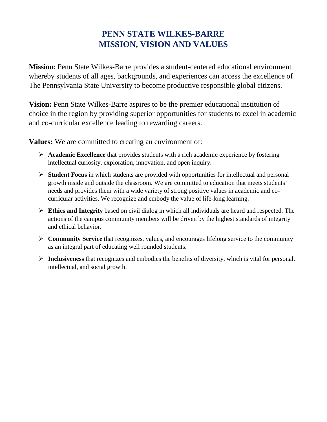# **PENN STATE WILKES-BARRE MISSION, VISION AND VALUES**

**Mission:** Penn State Wilkes-Barre provides a student-centered educational environment whereby students of all ages, backgrounds, and experiences can access the excellence of The Pennsylvania State University to become productive responsible global citizens.

**Vision:** Penn State Wilkes-Barre aspires to be the premier educational institution of choice in the region by providing superior opportunities for students to excel in academic and co-curricular excellence leading to rewarding careers.

**Values:** We are committed to creating an environment of:

- **Academic Excellence** that provides students with a rich academic experience by fostering intellectual curiosity, exploration, innovation, and open inquiry.
- **Student Focus** in which students are provided with opportunities for intellectual and personal growth inside and outside the classroom. We are committed to education that meets students' needs and provides them with a wide variety of strong positive values in academic and cocurricular activities. We recognize and embody the value of life-long learning.
- **Ethics and Integrity** based on civil dialog in which all individuals are heard and respected. The actions of the campus community members will be driven by the highest standards of integrity and ethical behavior.
- **Community Service** that recognizes, values, and encourages lifelong service to the community as an integral part of educating well rounded students.
- **Inclusiveness** that recognizes and embodies the benefits of diversity, which is vital for personal, intellectual, and social growth.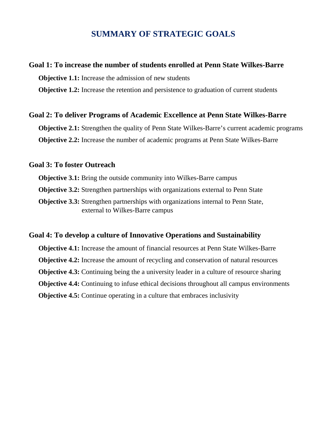# **SUMMARY OF STRATEGIC GOALS**

# **Goal 1: To increase the number of students enrolled at Penn State Wilkes-Barre**

**Objective 1.1:** Increase the admission of new students

**Objective 1.2:** Increase the retention and persistence to graduation of current students

# **Goal 2: To deliver Programs of Academic Excellence at Penn State Wilkes-Barre**

**Objective 2.1:** Strengthen the quality of Penn State Wilkes-Barre's current academic programs **Objective 2.2:** Increase the number of academic programs at Penn State Wilkes-Barre

# **Goal 3: To foster Outreach**

**Objective 3.1:** Bring the outside community into Wilkes-Barre campus **Objective 3.2:** Strengthen partnerships with organizations external to Penn State **Objective 3.3:** Strengthen partnerships with organizations internal to Penn State, external to Wilkes-Barre campus

# **Goal 4: To develop a culture of Innovative Operations and Sustainability**

**Objective 4.1:** Increase the amount of financial resources at Penn State Wilkes-Barre **Objective 4.2:** Increase the amount of recycling and conservation of natural resources **Objective 4.3:** Continuing being the a university leader in a culture of resource sharing **Objective 4.4:** Continuing to infuse ethical decisions throughout all campus environments **Objective 4.5:** Continue operating in a culture that embraces inclusivity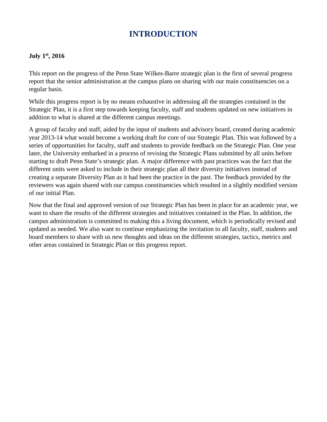# **INTRODUCTION**

# **July 1st, 2016**

This report on the progress of the Penn State Wilkes-Barre strategic plan is the first of several progress report that the senior administration at the campus plans on sharing with our main constituencies on a regular basis.

While this progress report is by no means exhaustive in addressing all the strategies contained in the Strategic Plan, it is a first step towards keeping faculty, staff and students updated on new initiatives in addition to what is shared at the different campus meetings.

A group of faculty and staff, aided by the input of students and advisory board, created during academic year 2013-14 what would become a working draft for core of our Strategic Plan. This was followed by a series of opportunities for faculty, staff and students to provide feedback on the Strategic Plan. One year later, the University embarked in a process of revising the Strategic Plans submitted by all units before starting to draft Penn State's strategic plan. A major difference with past practices was the fact that the different units were asked to include in their strategic plan all their diversity initiatives instead of creating a separate Diversity Plan as it had been the practice in the past. The feedback provided by the reviewers was again shared with our campus constituencies which resulted in a slightly modified version of our initial Plan.

Now that the final and approved version of our Strategic Plan has been in place for an academic year, we want to share the results of the different strategies and initiatives contained in the Plan. In addition, the campus administration is committed to making this a living document, which is periodically revised and updated as needed. We also want to continue emphasizing the invitation to all faculty, staff, students and board members to share with us new thoughts and ideas on the different strategies, tactics, metrics and other areas contained in Strategic Plan or this progress report.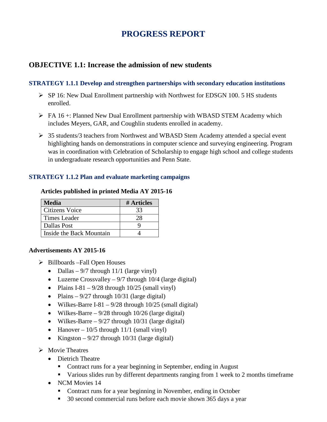# **PROGRESS REPORT**

# **OBJECTIVE 1.1: Increase the admission of new students**

# **STRATEGY 1.1.1 Develop and strengthen partnerships with secondary education institutions**

- $\triangleright$  SP 16: New Dual Enrollment partnership with Northwest for EDSGN 100. 5 HS students enrolled.
- $\triangleright$  FA 16 +: Planned New Dual Enrollment partnership with WBASD STEM Academy which includes Meyers, GAR, and Coughlin students enrolled in academy.
- 35 students/3 teachers from Northwest and WBASD Stem Academy attended a special event highlighting hands on demonstrations in computer science and surveying engineering. Program was in coordination with Celebration of Scholarship to engage high school and college students in undergraduate research opportunities and Penn State.

# **STRATEGY 1.1.2 Plan and evaluate marketing campaigns**

| <b>Media</b>             | # Articles |
|--------------------------|------------|
| <b>Citizens Voice</b>    | 33         |
| Times Leader             | 28         |
| <b>Dallas Post</b>       |            |
| Inside the Back Mountain |            |

# **Articles published in printed Media AY 2015-16**

# **Advertisements AY 2015-16**

- $\triangleright$  Billboards –Fall Open Houses
	- Dallas  $9/7$  through 11/1 (large vinyl)
	- Luzerne Crossvalley  $9/7$  through 10/4 (large digital)
	- Plains I-81  $9/28$  through 10/25 (small vinyl)
	- Plains  $-9/27$  through 10/31 (large digital)
	- Wilkes-Barre I-81  $9/28$  through 10/25 (small digital)
	- Wilkes-Barre  $9/28$  through 10/26 (large digital)
	- Wilkes-Barre  $9/27$  through 10/31 (large digital)
	- Hanover  $10/5$  through  $11/1$  (small vinyl)
	- Kingston  $9/27$  through 10/31 (large digital)
- $\triangleright$  Movie Theatres
	- Dietrich Theatre
		- Contract runs for a year beginning in September, ending in August
		- Various slides run by different departments ranging from 1 week to 2 months timeframe
	- NCM Movies 14
		- Contract runs for a year beginning in November, ending in October
		- 30 second commercial runs before each movie shown 365 days a year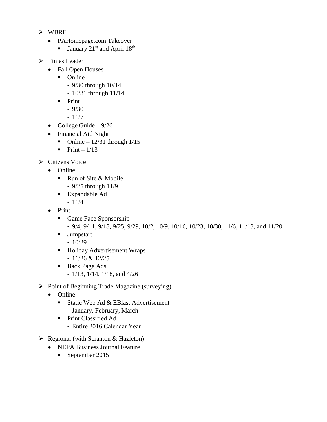- $\triangleright$  WBRE
	- PAHomepage.com Takeover
		- **January**  $21^{st}$  and April  $18^{th}$
- $\triangleright$  Times Leader
	- Fall Open Houses
		- Online
			- 9/30 through 10/14
			- 10/31 through 11/14
		- $\blacksquare$  Print
			- $-9/30$
			- 11/7
	- College Guide  $9/26$
	- Financial Aid Night
		- Online  $12/31$  through  $1/15$
		- $\blacksquare$  Print 1/13
- $\triangleright$  Citizens Voice
	- Online
		- Run of Site & Mobile
			- 9/25 through 11/9
		- Expandable Ad
			- 11/4
	- Print
		- Game Face Sponsorship
			- 9/4, 9/11, 9/18, 9/25, 9/29, 10/2, 10/9, 10/16, 10/23, 10/30, 11/6, 11/13, and 11/20
		- **Jumpstart** 
			- 10/29
		- **Holiday Advertisement Wraps** - 11/26 & 12/25
		- Back Page Ads
			- 1/13, 1/14, 1/18, and 4/26
- $\triangleright$  Point of Beginning Trade Magazine (surveying)
	- Online
		- Static Web Ad  $&$  EBlast Advertisement
			- January, February, March
		- Print Classified Ad
			- Entire 2016 Calendar Year
- $\triangleright$  Regional (with Scranton & Hazleton)
	- NEPA Business Journal Feature
		- September 2015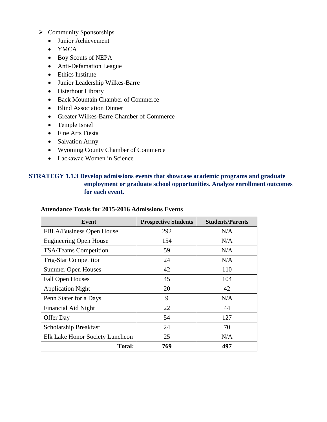### $\triangleright$  Community Sponsorships

- Junior Achievement
- YMCA
- Boy Scouts of NEPA
- Anti-Defamation League
- Ethics Institute
- Junior Leadership Wilkes-Barre
- Osterhout Library
- Back Mountain Chamber of Commerce
- Blind Association Dinner
- Greater Wilkes-Barre Chamber of Commerce
- Temple Israel
- Fine Arts Fiesta
- Salvation Army
- Wyoming County Chamber of Commerce
- Lackawac Women in Science

# **STRATEGY 1.1.3 Develop admissions events that showcase academic programs and graduate employment or graduate school opportunities. Analyze enrollment outcomes for each event.**

#### **Attendance Totals for 2015-2016 Admissions Events**

| Event                           | <b>Prospective Students</b> | <b>Students/Parents</b> |
|---------------------------------|-----------------------------|-------------------------|
| FBLA/Business Open House        | 292                         | N/A                     |
| <b>Engineering Open House</b>   | 154                         | N/A                     |
| <b>TSA/Teams Competition</b>    | 59                          | N/A                     |
| <b>Trig-Star Competition</b>    | 24                          | N/A                     |
| <b>Summer Open Houses</b>       | 42                          | 110                     |
| <b>Fall Open Houses</b>         | 45                          | 104                     |
| <b>Application Night</b>        | 20                          | 42                      |
| Penn Stater for a Days          | 9                           | N/A                     |
| Financial Aid Night             | 22                          | 44                      |
| Offer Day                       | 54                          | 127                     |
| Scholarship Breakfast           | 24                          | 70                      |
| Elk Lake Honor Society Luncheon | 25                          | N/A                     |
| <b>Total:</b>                   | 769                         | 497                     |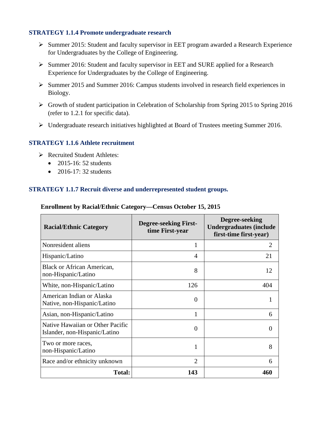### **STRATEGY 1.1.4 Promote undergraduate research**

- $\triangleright$  Summer 2015: Student and faculty supervisor in EET program awarded a Research Experience for Undergraduates by the College of Engineering.
- $\triangleright$  Summer 2016: Student and faculty supervisor in EET and SURE applied for a Research Experience for Undergraduates by the College of Engineering.
- $\triangleright$  Summer 2015 and Summer 2016: Campus students involved in research field experiences in Biology.
- $\triangleright$  Growth of student participation in Celebration of Scholarship from Spring 2015 to Spring 2016 (refer to 1.2.1 for specific data).
- Undergraduate research initiatives highlighted at Board of Trustees meeting Summer 2016.

### **STRATEGY 1.1.6 Athlete recruitment**

- Recruited Student Athletes:
	- $\bullet$  2015-16: 52 students
	- $\bullet$  2016-17: 32 students

# **STRATEGY 1.1.7 Recruit diverse and underrepresented student groups.**

| <b>Racial/Ethnic Category</b>                                     | <b>Degree-seeking First-</b><br>time First-year | Degree-seeking<br><b>Undergraduates (include</b><br>first-time first-year) |
|-------------------------------------------------------------------|-------------------------------------------------|----------------------------------------------------------------------------|
| Nonresident aliens                                                |                                                 | 2                                                                          |
| Hispanic/Latino                                                   | $\overline{4}$                                  | 21                                                                         |
| <b>Black or African American,</b><br>non-Hispanic/Latino          | 8                                               | 12                                                                         |
| White, non-Hispanic/Latino                                        | 126                                             | 404                                                                        |
| American Indian or Alaska<br>Native, non-Hispanic/Latino          | $\Omega$                                        |                                                                            |
| Asian, non-Hispanic/Latino                                        | 1                                               | 6                                                                          |
| Native Hawaiian or Other Pacific<br>Islander, non-Hispanic/Latino | 0                                               | $\Omega$                                                                   |
| Two or more races,<br>non-Hispanic/Latino                         | 1                                               | 8                                                                          |
| Race and/or ethnicity unknown                                     | $\mathcal{D}_{\cdot}$                           | 6                                                                          |
| <b>Total:</b>                                                     | 143                                             | 460                                                                        |

#### **Enrollment by Racial/Ethnic Category—Census October 15, 2015**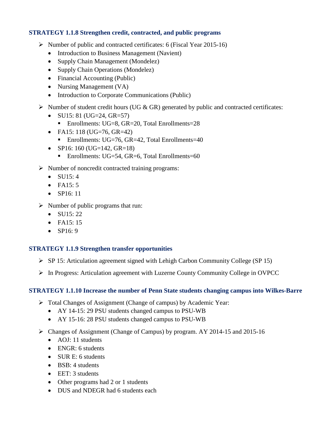# **STRATEGY 1.1.8 Strengthen credit, contracted, and public programs**

- $\triangleright$  Number of public and contracted certificates: 6 (Fiscal Year 2015-16)
	- Introduction to Business Management (Navient)
	- Supply Chain Management (Mondelez)
	- Supply Chain Operations (Mondelez)
	- Financial Accounting (Public)
	- Nursing Management (VA)
	- Introduction to Corporate Communications (Public)
- $\triangleright$  Number of student credit hours (UG & GR) generated by public and contracted certificates:
	- SU15: 81 (UG=24, GR=57)
		- Enrollments: UG=8, GR=20, Total Enrollments=28
	- FA15: 118 (UG=76, GR=42)
		- Enrollments:  $UG=76$ ,  $GR=42$ , Total Enrollments=40
	- SP16: 160 (UG=142, GR=18)
		- Enrollments: UG=54, GR=6, Total Enrollments=60
- $\triangleright$  Number of noncredit contracted training programs:
	- $\bullet$  SU15:4
	- FA15: 5
	- SP16: 11
- $\triangleright$  Number of public programs that run:
	- SU15:  $22$
	- $FA15:15$
	- $\bullet$  SP16: 9

# **STRATEGY 1.1.9 Strengthen transfer opportunities**

- $\triangleright$  SP 15: Articulation agreement signed with Lehigh Carbon Community College (SP 15)
- In Progress: Articulation agreement with Luzerne County Community College in OVPCC

# **STRATEGY 1.1.10 Increase the number of Penn State students changing campus into Wilkes-Barre**

- Total Changes of Assignment (Change of campus) by Academic Year:
	- AY 14-15: 29 PSU students changed campus to PSU-WB
	- AY 15-16: 28 PSU students changed campus to PSU-WB
- Changes of Assignment (Change of Campus) by program. AY 2014-15 and 2015-16
	- AOJ: 11 students
	- ENGR: 6 students
	- SUR E: 6 students
	- BSB: 4 students
	- EET: 3 students
	- Other programs had 2 or 1 students
	- DUS and NDEGR had 6 students each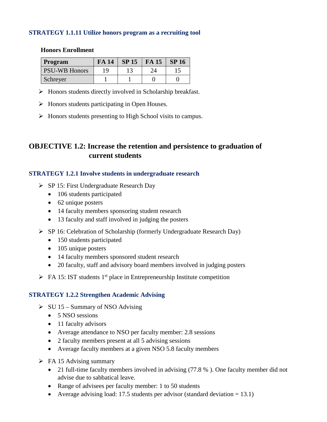### **STRATEGY 1.1.11 Utilize honors program as a recruiting tool**

#### **Honors Enrollment**

| Program              | FA 14 | SP 15 | <b>FA 15</b> | <b>SP 16</b> |
|----------------------|-------|-------|--------------|--------------|
| <b>PSU-WB Honors</b> | 1 Q   |       | 24           |              |
| Schreyer             |       |       |              |              |

- $\triangleright$  Honors students directly involved in Scholarship breakfast.
- $\triangleright$  Honors students participating in Open Houses.
- > Honors students presenting to High School visits to campus.

# **OBJECTIVE 1.2: Increase the retention and persistence to graduation of current students**

### **STRATEGY 1.2.1 Involve students in undergraduate research**

- $\triangleright$  SP 15: First Undergraduate Research Day
	- 106 students participated
	- 62 unique posters
	- 14 faculty members sponsoring student research
	- 13 faculty and staff involved in judging the posters
- $\triangleright$  SP 16: Celebration of Scholarship (formerly Undergraduate Research Day)
	- 150 students participated
	- 105 unique posters
	- 14 faculty members sponsored student research
	- 20 faculty, staff and advisory board members involved in judging posters
- $\triangleright$  FA 15: IST students 1<sup>st</sup> place in Entrepreneurship Institute competition

# **STRATEGY 1.2.2 Strengthen Academic Advising**

- $\triangleright$  SU 15 Summary of NSO Advising
	- 5 NSO sessions
	- 11 faculty advisors
	- Average attendance to NSO per faculty member: 2.8 sessions
	- 2 faculty members present at all 5 advising sessions
	- Average faculty members at a given NSO 5.8 faculty members
- $\triangleright$  FA 15 Advising summary
	- 21 full-time faculty members involved in advising (77.8 %). One faculty member did not advise due to sabbatical leave.
	- Range of advisees per faculty member: 1 to 50 students
	- Average advising load: 17.5 students per advisor (standard deviation  $= 13.1$ )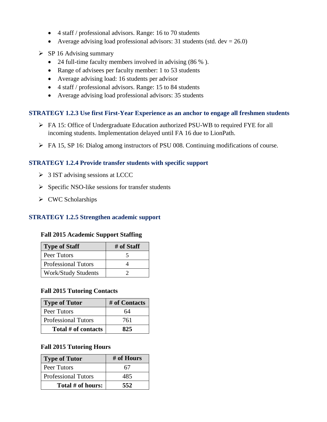- 4 staff / professional advisors. Range: 16 to 70 students
- Average advising load professional advisors: 31 students (std. dev =  $26.0$ )
- $\triangleright$  SP 16 Advising summary
	- 24 full-time faculty members involved in advising (86 %).
	- Range of advisees per faculty member: 1 to 53 students
	- Average advising load: 16 students per advisor
	- 4 staff / professional advisors. Range: 15 to 84 students
	- Average advising load professional advisors: 35 students

### **STRATEGY 1.2.3 Use first First-Year Experience as an anchor to engage all freshmen students**

- FA 15: Office of Undergraduate Education authorized PSU-WB to required FYE for all incoming students. Implementation delayed until FA 16 due to LionPath.
- FA 15, SP 16: Dialog among instructors of PSU 008. Continuing modifications of course.

### **STRATEGY 1.2.4 Provide transfer students with specific support**

- $\geq$  3 IST advising sessions at LCCC
- $\triangleright$  Specific NSO-like sessions for transfer students
- $\triangleright$  CWC Scholarships

# **STRATEGY 1.2.5 Strengthen academic support**

#### **Fall 2015 Academic Support Staffing**

| <b>Type of Staff</b>       | # of Staff |
|----------------------------|------------|
| Peer Tutors                |            |
| <b>Professional Tutors</b> |            |
| <b>Work/Study Students</b> |            |

#### **Fall 2015 Tutoring Contacts**

| <b>Type of Tutor</b>       | # of Contacts |
|----------------------------|---------------|
| Peer Tutors                | 64            |
| <b>Professional Tutors</b> | 761           |
| Total # of contacts        | 825           |

### **Fall 2015 Tutoring Hours**

| <b>Type of Tutor</b>       | # of Hours |  |  |
|----------------------------|------------|--|--|
| Peer Tutors                | 67         |  |  |
| <b>Professional Tutors</b> | 485        |  |  |
| Total # of hours:          | 552        |  |  |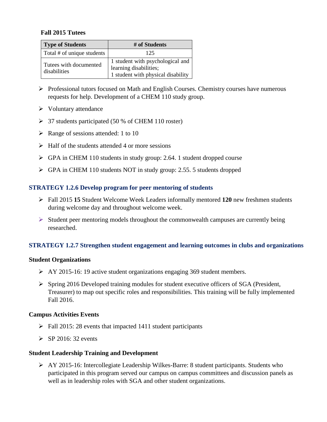### **Fall 2015 Tutees**

| <b>Type of Students</b>                | # of Students                                                                                    |
|----------------------------------------|--------------------------------------------------------------------------------------------------|
| Total # of unique students             | 125                                                                                              |
| Tutees with documented<br>disabilities | 1 student with psychological and<br>learning disabilities;<br>1 student with physical disability |

- $\triangleright$  Professional tutors focused on Math and English Courses. Chemistry courses have numerous requests for help. Development of a CHEM 110 study group.
- $\triangleright$  Voluntary attendance
- $\geq$  37 students participated (50 % of CHEM 110 roster)
- $\triangleright$  Range of sessions attended: 1 to 10
- $\triangleright$  Half of the students attended 4 or more sessions
- GPA in CHEM 110 students in study group: 2.64. 1 student dropped course
- GPA in CHEM 110 students NOT in study group: 2.55. 5 students dropped

### **STRATEGY 1.2.6 Develop program for peer mentoring of students**

- Fall 2015 **15** Student Welcome Week Leaders informally mentored **120** new freshmen students during welcome day and throughout welcome week.
- $\triangleright$  Student peer mentoring models throughout the commonwealth campuses are currently being researched.

# **STRATEGY 1.2.7 Strengthen student engagement and learning outcomes in clubs and organizations**

#### **Student Organizations**

- AY 2015-16: 19 active student organizations engaging 369 student members.
- Spring 2016 Developed training modules for student executive officers of SGA (President, Treasurer) to map out specific roles and responsibilities. This training will be fully implemented Fall 2016.

#### **Campus Activities Events**

- $\triangleright$  Fall 2015: 28 events that impacted 1411 student participants
- $\triangleright$  SP 2016: 32 events

#### **Student Leadership Training and Development**

 $\triangleright$  AY 2015-16: Intercollegiate Leadership Wilkes-Barre: 8 student participants. Students who participated in this program served our campus on campus committees and discussion panels as well as in leadership roles with SGA and other student organizations.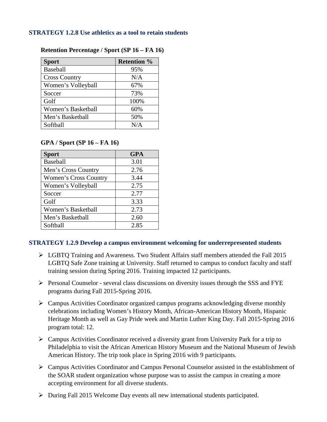#### **STRATEGY 1.2.8 Use athletics as a tool to retain students**

| <b>Sport</b>         | <b>Retention %</b> |
|----------------------|--------------------|
| Baseball             | 95%                |
| <b>Cross Country</b> | N/A                |
| Women's Volleyball   | 67%                |
| Soccer               | 73%                |
| Golf                 | 100%               |
| Women's Basketball   | 60%                |
| Men's Basketball     | 50%                |
| Softball             | N/A                |

# **Retention Percentage / Sport (SP 16 – FA 16)**

# **GPA / Sport (SP 16 – FA 16)**

| <b>Sport</b>                 | <b>GPA</b> |
|------------------------------|------------|
| <b>Baseball</b>              | 3.01       |
| Men's Cross Country          | 2.76       |
| <b>Women's Cross Country</b> | 3.44       |
| Women's Volleyball           | 2.75       |
| Soccer                       | 2.77       |
| Golf                         | 3.33       |
| Women's Basketball           | 2.73       |
| Men's Basketball             | 2.60       |
| Softball                     | 2.85       |

# **STRATEGY 1.2.9 Develop a campus environment welcoming for underrepresented students**

- LGBTQ Training and Awareness. Two Student Affairs staff members attended the Fall 2015 LGBTQ Safe Zone training at University. Staff returned to campus to conduct faculty and staff training session during Spring 2016. Training impacted 12 participants.
- $\triangleright$  Personal Counselor several class discussions on diversity issues through the SSS and FYE programs during Fall 2015-Spring 2016.
- $\triangleright$  Campus Activities Coordinator organized campus programs acknowledging diverse monthly celebrations including Women's History Month, African-American History Month, Hispanic Heritage Month as well as Gay Pride week and Martin Luther King Day. Fall 2015-Spring 2016 program total: 12.
- Campus Activities Coordinator received a diversity grant from University Park for a trip to Philadelphia to visit the African American History Museum and the National Museum of Jewish American History. The trip took place in Spring 2016 with 9 participants.
- $\triangleright$  Campus Activities Coordinator and Campus Personal Counselor assisted in the establishment of the SOAR student organization whose purpose was to assist the campus in creating a more accepting environment for all diverse students.
- During Fall 2015 Welcome Day events all new international students participated.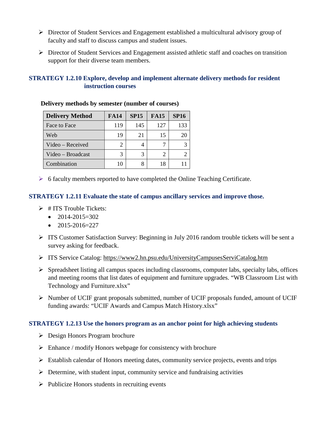- Director of Student Services and Engagement established a multicultural advisory group of faculty and staff to discuss campus and student issues.
- Director of Student Services and Engagement assisted athletic staff and coaches on transition support for their diverse team members.

# **STRATEGY 1.2.10 Explore, develop and implement alternate delivery methods for resident instruction courses**

| <b>Delivery Method</b> | <b>FA14</b> | <b>SP15</b> | <b>FA15</b> | <b>SP16</b> |
|------------------------|-------------|-------------|-------------|-------------|
| Face to Face           | 119         | 145         | 127         | 133         |
| Web                    | 19          | 21          | 15          | 20          |
| Video – Received       | 2           |             |             |             |
| Video – Broadcast      | 3           | 3           |             |             |
| Combination            |             |             |             |             |

**Delivery methods by semester (number of courses)**

 $\triangleright$  6 faculty members reported to have completed the Online Teaching Certificate.

# **STRATEGY 1.2.11 Evaluate the state of campus ancillary services and improve those.**

- $\triangleright$  # ITS Trouble Tickets:
	- $2014 2015 = 302$
	- $\bullet$  2015-2016=227
- $\triangleright$  ITS Customer Satisfaction Survey: Beginning in July 2016 random trouble tickets will be sent a survey asking for feedback.
- ITS Service Catalog:<https://www2.hn.psu.edu/UniversityCampusesServiCatalog.htm>
- $\triangleright$  Spreadsheet listing all campus spaces including classrooms, computer labs, specialty labs, offices and meeting rooms that list dates of equipment and furniture upgrades. "WB Classroom List with Technology and Furniture.xlsx"
- Number of UCIF grant proposals submitted, number of UCIF proposals funded, amount of UCIF funding awards: "UCIF Awards and Campus Match History.xlsx"

# **STRATEGY 1.2.13 Use the honors program as an anchor point for high achieving students**

- Design Honors Program brochure
- $\triangleright$  Enhance / modify Honors webpage for consistency with brochure
- $\triangleright$  Establish calendar of Honors meeting dates, community service projects, events and trips
- $\triangleright$  Determine, with student input, community service and fundraising activities
- $\triangleright$  Publicize Honors students in recruiting events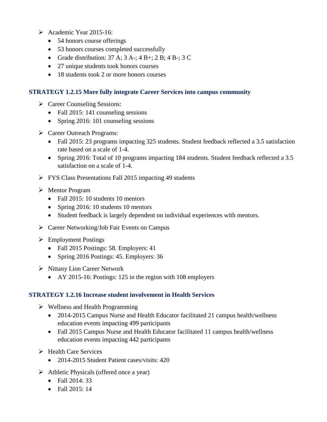- Academic Year 2015-16:
	- 54 honors course offerings
	- 53 honors courses completed successfully
	- Grade distribution:  $37 \text{ A}$ ;  $3 \text{ A}$ -;  $4 \text{ B}$ +;  $2 \text{ B}$ ;  $4 \text{ B}$ -;  $3 \text{ C}$
	- 27 unique students took honors courses
	- 18 students took 2 or more honors courses

# **STRATEGY 1.2.15 More fully integrate Career Services into campus community**

- Career Counseling Sessions:
	- Fall 2015: 141 counseling sessions
	- Spring 2016: 101 counseling sessions
- Career Outreach Programs:
	- Fall 2015: 23 programs impacting 325 students. Student feedback reflected a 3.5 satisfaction rate based on a scale of 1-4.
	- Spring 2016: Total of 10 programs impacting 184 students. Student feedback reflected a 3.5 satisfaction on a scale of 1-4.
- **FYS Class Presentations Fall 2015 impacting 49 students**
- Mentor Program
	- Fall 2015: 10 students 10 mentors
	- Spring 2016: 10 students 10 mentors
	- Student feedback is largely dependent on individual experiences with mentors.
- Career Networking/Job Fair Events on Campus
- Employment Postings
	- Fall 2015 Postings: 58. Employers: 41
	- Spring 2016 Postings: 45. Employers: 36
- $\triangleright$  Nittany Lion Career Network
	- AY 2015-16: Postings: 125 in the region with 108 employers

# **STRATEGY 1.2.16 Increase student involvement in Health Services**

- $\triangleright$  Wellness and Health Programming
	- 2014-2015 Campus Nurse and Health Educator facilitated 21 campus health/wellness education events impacting 499 participants
	- Fall 2015 Campus Nurse and Health Educator facilitated 11 campus health/wellness education events impacting 442 participants
- $\triangleright$  Health Care Services
	- 2014-2015 Student Patient cases/visits: 420
- $\triangleright$  Athletic Physicals (offered once a year)
	- Fall 2014: 33
	- Fall 2015: 14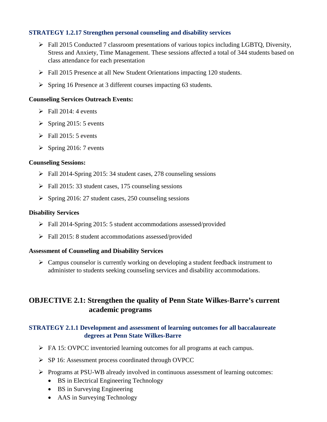# **STRATEGY 1.2.17 Strengthen personal counseling and disability services**

- $\triangleright$  Fall 2015 Conducted 7 classroom presentations of various topics including LGBTQ, Diversity, Stress and Anxiety, Time Management. These sessions affected a total of 344 students based on class attendance for each presentation
- Fall 2015 Presence at all New Student Orientations impacting 120 students.
- Spring 16 Presence at 3 different courses impacting 63 students.

### **Counseling Services Outreach Events:**

- $\triangleright$  Fall 2014: 4 events
- $\triangleright$  Spring 2015: 5 events
- $\triangleright$  Fall 2015: 5 events
- $\triangleright$  Spring 2016: 7 events

#### **Counseling Sessions:**

- Fall 2014-Spring 2015: 34 student cases, 278 counseling sessions
- $\triangleright$  Fall 2015: 33 student cases, 175 counseling sessions
- $\triangleright$  Spring 2016: 27 student cases, 250 counseling sessions

#### **Disability Services**

- Fall 2014-Spring 2015: 5 student accommodations assessed/provided
- Fall 2015: 8 student accommodations assessed/provided

#### **Assessment of Counseling and Disability Services**

 $\triangleright$  Campus counselor is currently working on developing a student feedback instrument to administer to students seeking counseling services and disability accommodations.

# **OBJECTIVE 2.1: Strengthen the quality of Penn State Wilkes-Barre's current academic programs**

# **STRATEGY 2.1.1 Development and assessment of learning outcomes for all baccalaureate degrees at Penn State Wilkes-Barre**

- FA 15: OVPCC inventoried learning outcomes for all programs at each campus.
- SP 16: Assessment process coordinated through OVPCC
- $\triangleright$  Programs at PSU-WB already involved in continuous assessment of learning outcomes:
	- BS in Electrical Engineering Technology
	- BS in Surveying Engineering
	- AAS in Surveying Technology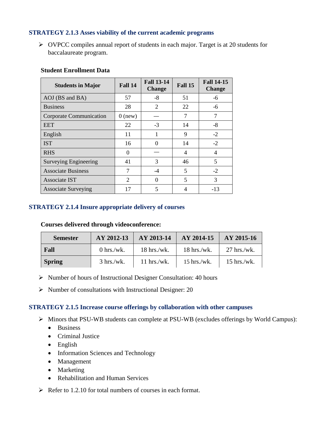# **STRATEGY 2.1.3 Asses viability of the current academic programs**

 $\triangleright$  OVPCC compiles annual report of students in each major. Target is at 20 students for baccalaureate program.

| <b>Students in Major</b>     | Fall 14   | <b>Fall 13-14</b><br><b>Change</b> | Fall 15 | <b>Fall 14-15</b><br><b>Change</b> |
|------------------------------|-----------|------------------------------------|---------|------------------------------------|
| AOJ (BS and BA)              | 57        | $-8$                               | 51      | -6                                 |
| <b>Business</b>              | 28        | $\overline{2}$                     | 22      | -6                                 |
| Corporate Communication      | $0$ (new) |                                    | 7       | 7                                  |
| <b>EET</b>                   | 22        | $-3$                               | 14      | -8                                 |
| English                      | 11        |                                    | 9       | $-2$                               |
| <b>IST</b>                   | 16        | 0                                  | 14      | $-2$                               |
| <b>RHS</b>                   | 0         |                                    | 4       | 4                                  |
| <b>Surveying Engineering</b> | 41        | 3                                  | 46      | 5                                  |
| <b>Associate Business</b>    | 7         | $-4$                               | 5       | $-2$                               |
| <b>Associate IST</b>         | 2         | 0                                  | 5       | 3                                  |
| <b>Associate Surveying</b>   | 17        | 5                                  | 4       | $-13$                              |

#### **Student Enrollment Data**

# **STRATEGY 2.1.4 Insure appropriate delivery of courses**

#### **Courses delivered through videoconference:**

| <b>Semester</b> | AY 2012-13           | AY 2013-14    | $AY 2014-15$  | AY 2015-16    |
|-----------------|----------------------|---------------|---------------|---------------|
| Fall            | 0 hrs./wk.           | $18$ hrs./wk. | $18$ hrs./wk. | $27$ hrs./wk. |
| <b>Spring</b>   | $3 \text{ hrs./wk}.$ | $11$ hrs./wk. | $15$ hrs./wk. | $15$ hrs./wk. |

- $\triangleright$  Number of hours of Instructional Designer Consultation: 40 hours
- $\triangleright$  Number of consultations with Instructional Designer: 20

#### **STRATEGY 2.1.5 Increase course offerings by collaboration with other campuses**

- Minors that PSU-WB students can complete at PSU-WB (excludes offerings by World Campus):
	- Business
	- Criminal Justice
	- English
	- Information Sciences and Technology
	- Management
	- Marketing
	- Rehabilitation and Human Services
- $\triangleright$  Refer to 1.2.10 for total numbers of courses in each format.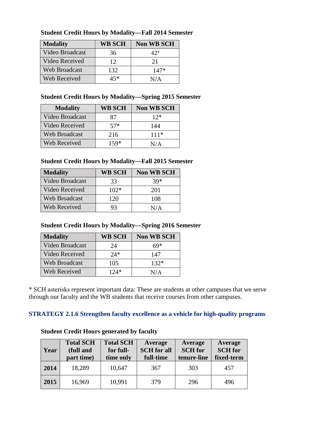| <b>Modality</b> | <b>WB SCH</b> | <b>Non WB SCH</b> |
|-----------------|---------------|-------------------|
| Video Broadcast | 36            | $42^*$            |
| Video Received  | 12            | 21                |
| Web Broadcast   | 132           | $147*$            |
| Web Received    | 45*           | N/A               |

# **Student Credit Hours by Modality—Fall 2014 Semester**

# **Student Credit Hours by Modality—Spring 2015 Semester**

| <b>Modality</b>      | <b>WB SCH</b> | <b>Non WB SCH</b> |
|----------------------|---------------|-------------------|
| Video Broadcast      | 87            | $12*$             |
| Video Received       | $57*$         | 144               |
| <b>Web Broadcast</b> | 216           | $111*$            |
| Web Received         | $159*$        | N/A               |

# **Student Credit Hours by Modality—Fall 2015 Semester**

| <b>Modality</b>      | <b>WB SCH</b> | <b>Non WB SCH</b> |
|----------------------|---------------|-------------------|
| Video Broadcast      | 33            | $39*$             |
| Video Received       | $102*$        | 201               |
| <b>Web Broadcast</b> | 120           | 108               |
| Web Received         | 93            | N/A               |

# **Student Credit Hours by Modality—Spring 2016 Semester**

| <b>Modality</b> | <b>WB SCH</b> | <b>Non WB SCH</b> |
|-----------------|---------------|-------------------|
| Video Broadcast | 24            | 69*               |
| Video Received  | $24*$         | 147               |
| Web Broadcast   | 105           | $132*$            |
| Web Received    | 124*          | N/A               |

\* SCH asterisks represent important data: These are students at other campuses that we serve through our faculty and the WB students that receive courses from other campuses.

# **STRATEGY 2.1.6 Strengthen faculty excellence as a vehicle for high-quality programs**

| Year | <b>Total SCH</b><br>(full and<br>part time) | <b>Total SCH</b><br>for full-<br>time only | Average<br><b>SCH</b> for all<br>full-time | Average<br><b>SCH</b> for<br>tenure-line | Average<br><b>SCH</b> for<br>fixed-term |
|------|---------------------------------------------|--------------------------------------------|--------------------------------------------|------------------------------------------|-----------------------------------------|
| 2014 | 18,289                                      | 10,647                                     | 367                                        | 303                                      | 457                                     |
| 2015 | 16,969                                      | 10,991                                     | 379                                        | 296                                      | 496                                     |

# **Student Credit Hours generated by faculty**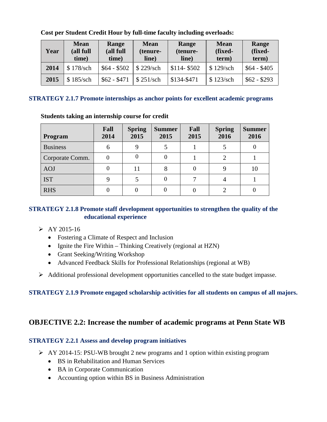| Year | <b>Mean</b><br>(all full<br>time) | Range<br>(all full<br>time) | <b>Mean</b><br>(tenure-<br>line) | Range<br>(tenure-<br>line) | <b>Mean</b><br>(fixed-<br>term) | Range<br>(fixed-<br>term) |
|------|-----------------------------------|-----------------------------|----------------------------------|----------------------------|---------------------------------|---------------------------|
| 2014 | \$178/sch                         | $$64 - $502$                | $\frac{1}{2}$ \$ 229/sch         | $$114 - $502$              | \$129/sch                       | $$64 - $405$              |
| 2015 | \$185/sch                         | $$62 - $471$                | $\frac{1}{2}$ \$ 251/sch         | \$134-\$471                | \$123/sch                       | $$62 - $293$              |

# **Cost per Student Credit Hour by full-time faculty including overloads:**

#### **STRATEGY 2.1.7 Promote internships as anchor points for excellent academic programs**

#### **Program Fall 2014 Spring 2015 Summer 2015 Fall 2015 Spring 2016 Summer 2016**  Business | 6 | 9 | 5 | 1 | 5 | 0 Corporate Comm.  $\begin{array}{|c|c|c|c|c|c|c|c|c|} \hline 0 & 0 & 0 & 1 & 2 & 1 \ \hline \end{array}$ AOJ 0 11 8 0 9 10 IST  $9 \mid 5 \mid 0 \mid 7 \mid 4 \mid 1$ RHS 0 0 0 0 0 2 0

# **Students taking an internship course for credit**

# **STRATEGY 2.1.8 Promote staff development opportunities to strengthen the quality of the educational experience**

- $\triangleright$  AY 2015-16
	- Fostering a Climate of Respect and Inclusion
	- Ignite the Fire Within Thinking Creatively (regional at HZN)
	- Grant Seeking/Writing Workshop
	- Advanced Feedback Skills for Professional Relationships (regional at WB)
- Additional professional development opportunities cancelled to the state budget impasse.

# **STRATEGY 2.1.9 Promote engaged scholarship activities for all students on campus of all majors.**

# **OBJECTIVE 2.2: Increase the number of academic programs at Penn State WB**

# **STRATEGY 2.2.1 Assess and develop program initiatives**

- $\triangleright$  AY 2014-15: PSU-WB brought 2 new programs and 1 option within existing program
	- BS in Rehabilitation and Human Services
	- BA in Corporate Communication
	- Accounting option within BS in Business Administration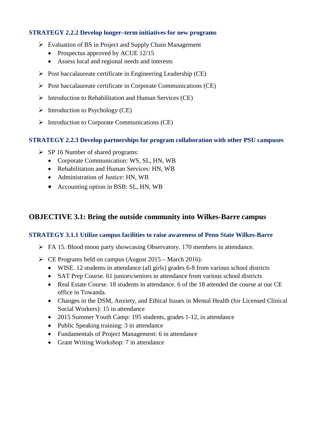### **STRATEGY 2.2.2 Develop longer–term initiatives for new programs**

- $\triangleright$  Evaluation of BS in Project and Supply Chain Management
	- Prospectus approved by ACUE 12/15
	- Assess local and regional needs and interests
- $\triangleright$  Post baccalaureate certificate in Engineering Leadership (CE)
- $\triangleright$  Post baccalaureate certificate in Corporate Communications (CE)
- $\triangleright$  Introduction to Rehabilitation and Human Services (CE)
- $\triangleright$  Introduction to Psychology (CE)
- $\triangleright$  Introduction to Corporate Communications (CE)

#### **STRATEGY 2.2.3 Develop partnerships for program collaboration with other PSU campuses**

- $\triangleright$  SP 16 Number of shared programs:
	- Corporate Communication: WS, SL, HN, WB
	- Rehabilitation and Human Services: HN, WB
	- Administration of Justice: HN, WB
	- Accounting option in BSB: SL, HN, WB

# **OBJECTIVE 3.1: Bring the outside community into Wilkes-Barre campus**

# **STRATEGY 3.1.1 Utilize campus facilities to raise awareness of Penn State Wilkes-Barre**

- $\triangleright$  FA 15. Blood moon party showcasing Observatory. 170 members in attendance.
- $\triangleright$  CE Programs held on campus (August 2015 March 2016):
	- WISE. 12 students in attendance (all girls) grades 6-8 from various school districts
	- SAT Prep Course, 61 juniors/seniors in attendance from various school districts
	- Real Estate Course. 18 students in attendance. 6 of the 18 attended the course at our CE office in Towanda.
	- Changes in the DSM, Anxiety, and Ethical Issues in Mental Health (for Licensed Clinical Social Workers): 15 in attendance
	- 2015 Summer Youth Camp: 195 students, grades 1-12, in attendance
	- Public Speaking training: 3 in attendance
	- Fundamentals of Project Management: 6 in attendance
	- Grant Writing Workshop: 7 in attendance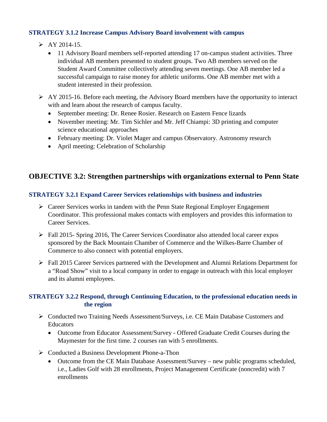# **STRATEGY 3.1.2 Increase Campus Advisory Board involvement with campus**

- $\triangleright$  AY 2014-15.
	- 11 Advisory Board members self-reported attending 17 on-campus student activities. Three individual AB members presented to student groups. Two AB members served on the Student Award Committee collectively attending seven meetings. One AB member led a successful campaign to raise money for athletic uniforms. One AB member met with a student interested in their profession.
- $\triangleright$  AY 2015-16. Before each meeting, the Advisory Board members have the opportunity to interact with and learn about the research of campus faculty.
	- September meeting: Dr. Renee Rosier. Research on Eastern Fence lizards
	- November meeting: Mr. Tim Sichler and Mr. Jeff Chiampi: 3D printing and computer science educational approaches
	- February meeting: Dr. Violet Mager and campus Observatory. Astronomy research
	- April meeting: Celebration of Scholarship

# **OBJECTIVE 3.2: Strengthen partnerships with organizations external to Penn State**

# **STRATEGY 3.2.1 Expand Career Services relationships with business and industries**

- $\triangleright$  Career Services works in tandem with the Penn State Regional Employer Engagement Coordinator. This professional makes contacts with employers and provides this information to Career Services.
- $\triangleright$  Fall 2015- Spring 2016, The Career Services Coordinator also attended local career expos sponsored by the Back Mountain Chamber of Commerce and the Wilkes-Barre Chamber of Commerce to also connect with potential employers.
- Fall 2015 Career Services partnered with the Development and Alumni Relations Department for a "Road Show" visit to a local company in order to engage in outreach with this local employer and its alumni employees.

# **STRATEGY 3.2.2 Respond, through Continuing Education, to the professional education needs in the region**

- Conducted two Training Needs Assessment/Surveys, i.e. CE Main Database Customers and **Educators** 
	- Outcome from Educator Assessment/Survey Offered Graduate Credit Courses during the Maymester for the first time. 2 courses ran with 5 enrollments.
- Conducted a Business Development Phone-a-Thon
	- Outcome from the CE Main Database Assessment/Survey new public programs scheduled, i.e., Ladies Golf with 28 enrollments, Project Management Certificate (noncredit) with 7 enrollments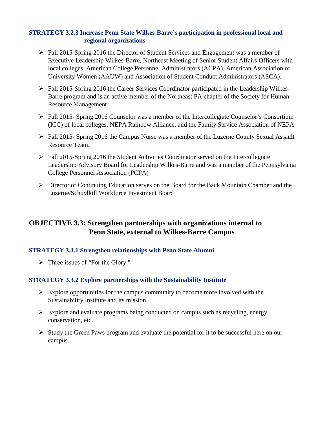# **STRATEGY 3.2.3 Increase Penn State Wilkes-Barre's participation in professional local and regional organizations**

- Fall 2015-Spring 2016 the Director of Student Services and Engagement was a member of Executive Leadership Wilkes-Barre, Northeast Meeting of Senior Student Affairs Officers with local colleges, American College Personnel Administrators (ACPA), American Association of University Women (AAUW) and Association of Student Conduct Administrators (ASCA).
- $\triangleright$  Fall 2015-Spring 2016 the Career Services Coordinator participated in the Leadership Wilkes-Barre program and is an active member of the Northeast PA chapter of the Society for Human Resource Management
- Fall 2015- Spring 2016 Counselor was a member of the Intercollegiate Counselor's Consortium (ICC) of local colleges, NEPA Rainbow Alliance, and the Family Service Association of NEPA
- Fall 2015- Spring 2016 the Campus Nurse was a member of the Luzerne County Sexual Assault Resource Team.
- $\triangleright$  Fall 2015-Spring 2016 the Student Activities Coordinator served on the Intercollegiate Leadership Advisory Board for Leadership Wilkes-Barre and was a member of the Pennsylvania College Personnel Association (PCPA)
- Director of Continuing Education serves on the Board for the Back Mountain Chamber and the Luzerne/Schuylkill Workforce Investment Board

# **OBJECTIVE 3.3: Strengthen partnerships with organizations internal to Penn State, external to Wilkes-Barre Campus**

# **STRATEGY 3.3.1 Strengthen relationships with Penn State Alumni**

> Three issues of "For the Glory."

# **STRATEGY 3.3.2 Explore partnerships with the Sustainability Institute**

- $\triangleright$  Explore opportunities for the campus community to become more involved with the Sustainability Institute and its mission.
- $\triangleright$  Explore and evaluate programs being conducted on campus such as recycling, energy conservation, etc.
- $\triangleright$  Study the Green Paws program and evaluate the potential for it to be successful here on our campus.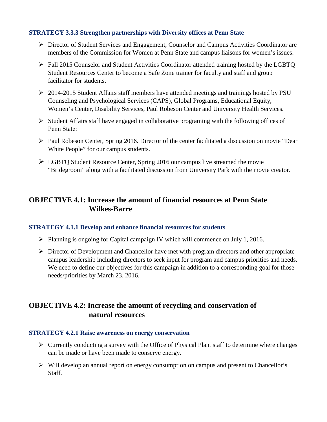# **STRATEGY 3.3.3 Strengthen partnerships with Diversity offices at Penn State**

- Director of Student Services and Engagement, Counselor and Campus Activities Coordinator are members of the Commission for Women at Penn State and campus liaisons for women's issues.
- Fall 2015 Counselor and Student Activities Coordinator attended training hosted by the LGBTQ Student Resources Center to become a Safe Zone trainer for faculty and staff and group facilitator for students.
- 2014-2015 Student Affairs staff members have attended meetings and trainings hosted by PSU Counseling and Psychological Services (CAPS), Global Programs, Educational Equity, Women's Center, Disability Services, Paul Robeson Center and University Health Services.
- $\triangleright$  Student Affairs staff have engaged in collaborative programing with the following offices of Penn State:
- Paul Robeson Center, Spring 2016. Director of the center facilitated a discussion on movie "Dear White People" for our campus students.
- $\triangleright$  LGBTQ Student Resource Center, Spring 2016 our campus live streamed the movie "Bridegroom" along with a facilitated discussion from University Park with the movie creator.

# **OBJECTIVE 4.1: Increase the amount of financial resources at Penn State Wilkes-Barre**

# **STRATEGY 4.1.1 Develop and enhance financial resources for students**

- $\triangleright$  Planning is ongoing for Capital campaign IV which will commence on July 1, 2016.
- $\triangleright$  Director of Development and Chancellor have met with program directors and other appropriate campus leadership including directors to seek input for program and campus priorities and needs. We need to define our objectives for this campaign in addition to a corresponding goal for those needs/priorities by March 23, 2016.

# **OBJECTIVE 4.2: Increase the amount of recycling and conservation of natural resources**

# **STRATEGY 4.2.1 Raise awareness on energy conservation**

- $\triangleright$  Currently conducting a survey with the Office of Physical Plant staff to determine where changes can be made or have been made to conserve energy.
- $\triangleright$  Will develop an annual report on energy consumption on campus and present to Chancellor's Staff.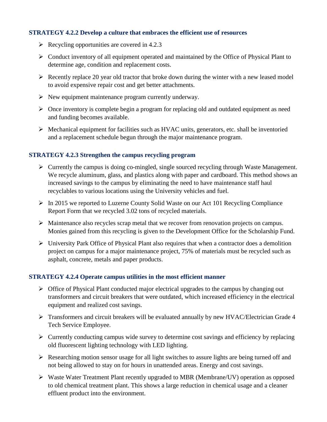### **STRATEGY 4.2.2 Develop a culture that embraces the efficient use of resources**

- $\triangleright$  Recycling opportunities are covered in 4.2.3
- $\triangleright$  Conduct inventory of all equipment operated and maintained by the Office of Physical Plant to determine age, condition and replacement costs.
- $\triangleright$  Recently replace 20 year old tractor that broke down during the winter with a new leased model to avoid expensive repair cost and get better attachments.
- $\triangleright$  New equipment maintenance program currently underway.
- $\triangleright$  Once inventory is complete begin a program for replacing old and outdated equipment as need and funding becomes available.
- $\triangleright$  Mechanical equipment for facilities such as HVAC units, generators, etc. shall be inventoried and a replacement schedule begun through the major maintenance program.

### **STRATEGY 4.2.3 Strengthen the campus recycling program**

- $\triangleright$  Currently the campus is doing co-mingled, single sourced recycling through Waste Management. We recycle aluminum, glass, and plastics along with paper and cardboard. This method shows an increased savings to the campus by eliminating the need to have maintenance staff haul recyclables to various locations using the University vehicles and fuel.
- $\triangleright$  In 2015 we reported to Luzerne County Solid Waste on our Act 101 Recycling Compliance Report Form that we recycled 3.02 tons of recycled materials.
- Maintenance also recycles scrap metal that we recover from renovation projects on campus. Monies gained from this recycling is given to the Development Office for the Scholarship Fund.
- $\triangleright$  University Park Office of Physical Plant also requires that when a contractor does a demolition project on campus for a major maintenance project, 75% of materials must be recycled such as asphalt, concrete, metals and paper products.

#### **STRATEGY 4.2.4 Operate campus utilities in the most efficient manner**

- $\triangleright$  Office of Physical Plant conducted major electrical upgrades to the campus by changing out transformers and circuit breakers that were outdated, which increased efficiency in the electrical equipment and realized cost savings.
- Transformers and circuit breakers will be evaluated annually by new HVAC/Electrician Grade 4 Tech Service Employee.
- $\triangleright$  Currently conducting campus wide survey to determine cost savings and efficiency by replacing old fluorescent lighting technology with LED lighting.
- $\triangleright$  Researching motion sensor usage for all light switches to assure lights are being turned off and not being allowed to stay on for hours in unattended areas. Energy and cost savings.
- Waste Water Treatment Plant recently upgraded to MBR (Membrane/UV) operation as opposed to old chemical treatment plant. This shows a large reduction in chemical usage and a cleaner effluent product into the environment.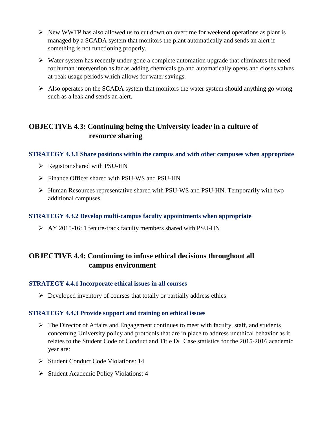- $\triangleright$  New WWTP has also allowed us to cut down on overtime for weekend operations as plant is managed by a SCADA system that monitors the plant automatically and sends an alert if something is not functioning properly.
- $\triangleright$  Water system has recently under gone a complete automation upgrade that eliminates the need for human intervention as far as adding chemicals go and automatically opens and closes valves at peak usage periods which allows for water savings.
- $\triangleright$  Also operates on the SCADA system that monitors the water system should anything go wrong such as a leak and sends an alert.

# **OBJECTIVE 4.3: Continuing being the University leader in a culture of resource sharing**

# **STRATEGY 4.3.1 Share positions within the campus and with other campuses when appropriate**

- $\triangleright$  Registrar shared with PSU-HN
- Finance Officer shared with PSU-WS and PSU-HN
- Human Resources representative shared with PSU-WS and PSU-HN. Temporarily with two additional campuses.

# **STRATEGY 4.3.2 Develop multi-campus faculty appointments when appropriate**

AY 2015-16: 1 tenure-track faculty members shared with PSU-HN

# **OBJECTIVE 4.4: Continuing to infuse ethical decisions throughout all campus environment**

# **STRATEGY 4.4.1 Incorporate ethical issues in all courses**

 $\triangleright$  Developed inventory of courses that totally or partially address ethics

# **STRATEGY 4.4.3 Provide support and training on ethical issues**

- $\triangleright$  The Director of Affairs and Engagement continues to meet with faculty, staff, and students concerning University policy and protocols that are in place to address unethical behavior as it relates to the Student Code of Conduct and Title IX. Case statistics for the 2015-2016 academic year are:
- $\triangleright$  Student Conduct Code Violations: 14
- Student Academic Policy Violations: 4